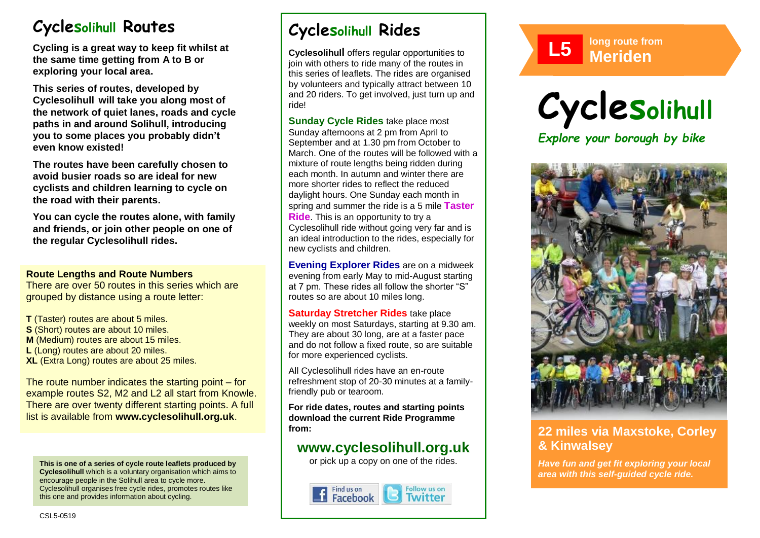# **Cyclesolihull Routes**

**Cycling is a great way to keep fit whilst at the same time getting from A to B or exploring your local area.** 

**This series of routes, developed by Cyclesolihull will take you along most of the network of quiet lanes, roads and cycle paths in and around Solihull, introducing you to some places you probably didn't even know existed!**

**The routes have been carefully chosen to avoid busier roads so are ideal for new cyclists and children learning to cycle on the road with their parents.** 

**You can cycle the routes alone, with family and friends, or join other people on one of the regular Cyclesolihull rides.**

### **Route Lengths and Route Numbers**

There are over 50 routes in this series which are grouped by distance using a route letter:

**T** (Taster) routes are about 5 miles. **S** (Short) routes are about 10 miles. **M** (Medium) routes are about 15 miles. **L** (Long) routes are about 20 miles. **XL** (Extra Long) routes are about 25 miles.

The route number indicates the starting point – for example routes S2, M2 and L2 all start from Knowle. There are over twenty different starting points. A full list is available from **www.cyclesolihull.org.uk**.

**This is one of a series of cycle route leaflets produced by Cyclesolihull** which is a voluntary organisation which aims to encourage people in the Solihull area to cycle more. Cyclesolihull organises free cycle rides, promotes routes like this one and provides information about cycling.

# **Cyclesolihull Rides**

**Cyclesolihull** offers regular opportunities to join with others to ride many of the routes in this series of leaflets. The rides are organised by volunteers and typically attract between 10 and 20 riders. To get involved, just turn up and ride!

**Sunday Cycle Rides** take place most Sunday afternoons at 2 pm from April to September and at 1.30 pm from October to March. One of the routes will be followed with a mixture of route lengths being ridden during each month. In autumn and winter there are more shorter rides to reflect the reduced daylight hours. One Sunday each month in spring and summer the ride is a 5 mile **Taster Ride**. This is an opportunity to try a Cyclesolihull ride without going very far and is an ideal introduction to the rides, especially for new cyclists and children.

**Evening Explorer Rides** are on a midweek evening from early May to mid-August starting at 7 pm. These rides all follow the shorter "S" routes so are about 10 miles long.

**Saturday Stretcher Rides** take place weekly on most Saturdays, starting at 9.30 am. They are about 30 long, are at a faster pace and do not follow a fixed route, so are suitable for more experienced cyclists.

All Cyclesolihull rides have an en-route refreshment stop of 20-30 minutes at a familyfriendly pub or tearoom.

**For ride dates, routes and starting points download the current Ride Programme from:** 

## **www.cyclesolihull.org.uk**

or pick up a copy on one of the rides.









## **22 miles via Maxstoke, Corley & Kinwalsey**

*Have fun and get fit exploring your local area with this self-guided cycle ride.*